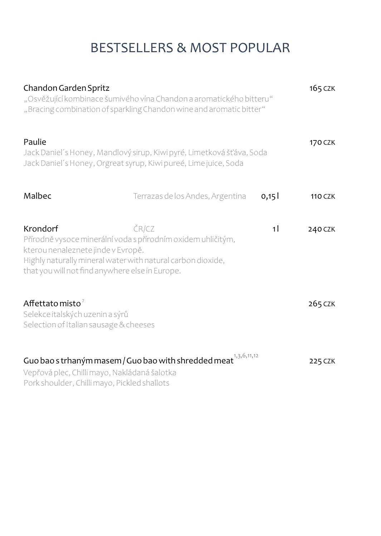## BESTSELLERS & MOST POPULAR

| Chandon Garden Spritz                                                                             | "Osvěžující kombinace šumivého vína Chandon a aromatického bitteru"<br>"Bracing combination of sparkling Chandon wine and aromatic bitter" |                | 165 CZK        |
|---------------------------------------------------------------------------------------------------|--------------------------------------------------------------------------------------------------------------------------------------------|----------------|----------------|
| Paulie                                                                                            | Jack Daniel's Honey, Mandlový sirup, Kiwi pyré, Limetková šťáva, Soda<br>Jack Daniel's Honey, Orgreat syrup, Kiwi pureé, Lime juice, Soda  |                | 170 CZK        |
| Malbec                                                                                            | Terrazas de los Andes, Argentina                                                                                                           | 0,15           | <b>110 CZK</b> |
| Krondorf<br>kterou nenaleznete jinde v Evropě.<br>that you will not find anywhere else in Europe. | ČR/CZ<br>Přírodně vysoce minerální voda s přírodním oxidem uhličitým,<br>Highly naturally mineral water with natural carbon dioxide,       | 1 <sup>1</sup> | 240 CZK        |
| Affettato misto $^7$<br>Selekce italských uzenin a sýrů<br>Selection of Italian sausage & cheeses |                                                                                                                                            |                | 265 CZK        |
| Vepřová plec, Chilli mayo, Nakládaná šalotka<br>Pork shoulder, Chilli mayo, Pickled shallots      | Guo bao s trhaným masem / Guo bao with shredded meat $^{\frac{1}{3},5,6,11,12}$                                                            |                | 225 CZK        |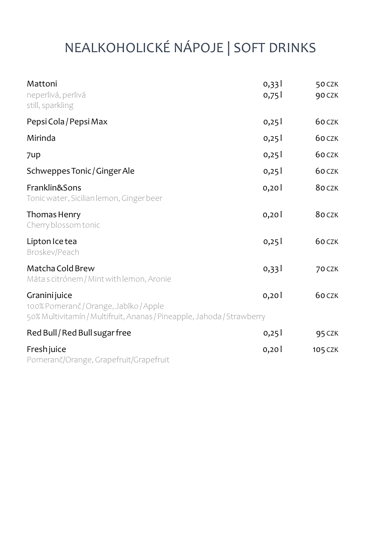# NEALKOHOLICKÉ NÁPOJE | SOFT DRINKS

| Mattoni<br>neperlivá, perlivá<br>still, sparkling                                                                                 | 0,331<br>0,751 | 50 CZK<br>90 CZK |
|-----------------------------------------------------------------------------------------------------------------------------------|----------------|------------------|
| Pepsi Cola / Pepsi Max                                                                                                            | 0,25           | 60 CZK           |
| Mirinda                                                                                                                           | 0,25           | 60 CZK           |
| 7up                                                                                                                               | 0,25           | 60 CZK           |
| Schweppes Tonic / Ginger Ale                                                                                                      | 0,25           | 60 CZK           |
| Franklin&Sons<br>Tonic water, Sicilian lemon, Ginger beer                                                                         | 0,20           | 80 CZK           |
| Thomas Henry<br>Cherry blossom tonic                                                                                              | 0,20           | 80 CZK           |
| Lipton Ice tea<br>Broskev/Peach                                                                                                   | 0,25           | 60 CZK           |
| Matcha Cold Brew<br>Máta s citrónem / Mint with lemon, Aronie                                                                     | 0,331          | 70 CZK           |
| Granini juice<br>100% Pomeranč / Orange, Jablko / Apple<br>50% Multivitamín / Multifruit, Ananas / Pineapple, Jahoda / Strawberry | 0,20           | 60 CZK           |
| Red Bull / Red Bull sugar free                                                                                                    | 0,251          | <b>95 CZK</b>    |
| Fresh juice<br>Pomeranč/Orange, Grapefruit/Grapefruit                                                                             | 0,20           | 105 CZK          |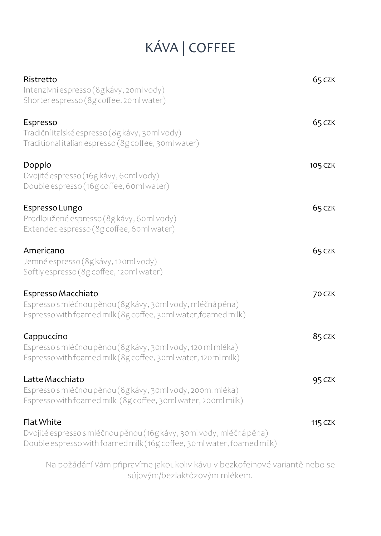## KÁVA | COFFEE

| Ristretto<br>Intenzivní espresso (8g kávy, 20ml vody)<br>Shorter espresso (8g coffee, 20ml water)                                                                  | 65 CZK         |
|--------------------------------------------------------------------------------------------------------------------------------------------------------------------|----------------|
| Espresso<br>Tradiční italské espresso (8g kávy, 30ml vody)<br>Traditional italian espresso (8g coffee, 30ml water)                                                 | 65 CZK         |
| Doppio<br>Dvojité espresso (16g kávy, 60ml vody)<br>Double espresso (16g coffee, 6 oml water)                                                                      | 105 CZK        |
| Espresso Lungo<br>Prodloužené espresso (8g kávy, 6 oml vody)<br>Extended espresso (8g coffee, 6 oml water)                                                         | 65 CZK         |
| Americano<br>Jemné espresso (8g kávy, 120ml vody)<br>Softly espresso (8g coffee, 120ml water)                                                                      | 65 CZK         |
| Espresso Macchiato<br>Espresso s mléčnou pěnou (8g kávy, 30ml vody, mléčná pěna)<br>Espresso with foamed milk (8g coffee, 30ml water, foamed milk)                 | <b>70 CZK</b>  |
| Cappuccino<br>Espresso s mléčnou pěnou (8g kávy, 30ml vody, 120 ml mléka)<br>Espresso with foamed milk (8g coffee, 30ml water, 120ml milk)                         | 85 CZK         |
| Latte Macchiato<br>Espresso s mléčnou pěnou (8g kávy, 30ml vody, 200ml mléka)<br>Espresso with foamed milk (8g coffee, 30ml water, 200ml milk)                     | 95 CZK         |
| <b>Flat White</b><br>Dvojité espresso s mléčnou pěnou (16g kávy, 30ml vody, mléčná pěna)<br>Double espresso with foamed milk (16g coffee, 30ml water, foamed milk) | <b>115 CZK</b> |

Na požádání Vám připravíme jakoukoliv kávu v bezkofeinové variantě nebo se sójovým/bezlaktózovým mlékem.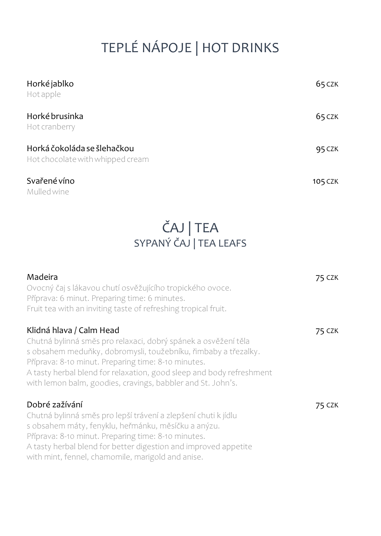# TEPLÉ NÁPOJE | HOT DRINKS

| Horké jablko<br>Hotapple                                        | 65 CZK  |
|-----------------------------------------------------------------|---------|
| Horké brusinka<br>Hot cranberry                                 | 65 CZK  |
| Horká čokoláda se šlehačkou<br>Hot chocolate with whipped cream | 95 CZK  |
| Svařené víno                                                    | 105 CZK |

Mulled wine

### ČAJ | TEA SYPANÝ ČAJ | TEA LEAFS

| Madeira<br>Ovocný čaj s lákavou chutí osvěžujícího tropického ovoce.<br>Příprava: 6 minut. Preparing time: 6 minutes.<br>Fruit tea with an inviting taste of refreshing tropical fruit.                                                                                                                                                                    | 75 CZK |
|------------------------------------------------------------------------------------------------------------------------------------------------------------------------------------------------------------------------------------------------------------------------------------------------------------------------------------------------------------|--------|
| Klidná hlava / Calm Head<br>Chutná bylinná směs pro relaxaci, dobrý spánek a osvěžení těla<br>s obsahem meduňky, dobromysli, toužebníku, řimbaby a třezalky.<br>Příprava: 8-10 minut. Preparing time: 8-10 minutes.<br>A tasty herbal blend for relaxation, good sleep and body refreshment<br>with lemon balm, goodies, cravings, babbler and St. John's. | 75 CZK |
| Dobré zažívání<br>Chutná bylinná směs pro lepší trávení a zlepšení chuti k jídlu<br>s obsahem máty, fenyklu, heřmánku, měsíčku a anýzu.<br>Příprava: 8-10 minut. Preparing time: 8-10 minutes.<br>A tasty herbal blend for better digestion and improved appetite<br>with mint, fennel, chamomile, marigold and anise.                                     | 75 CZK |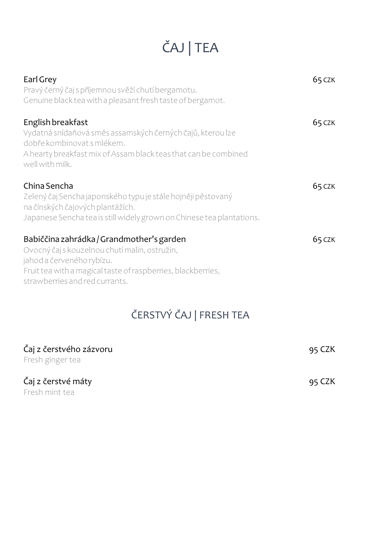# ČAJ | TEA

| Earl Grey<br>Pravý černý čaj s příjemnou svěží chutí bergamotu.<br>Genuine black tea with a pleasant fresh taste of bergamot.                                                                                             | 65 CZK |
|---------------------------------------------------------------------------------------------------------------------------------------------------------------------------------------------------------------------------|--------|
| English breakfast<br>Vydatná snídaňová směs assamských černých čajů, kterou lze<br>dobře kombinovat s mlékem.<br>A hearty breakfast mix of Assam black teas that can be combined<br>well with milk.                       | 65 CZK |
| China Sencha<br>Zelený čaj Sencha japonského typu je stále hojněji pěstovaný<br>na čínských čajových plantážích.<br>Japanese Sencha tea is still widely grown on Chinese tea plantations.                                 | 65 CZK |
| Babiččina zahrádka / Grandmother's garden<br>Ovocný čaj s kouzelnou chutí malin, ostružin,<br>jahod a červeného rybízu.<br>Fruit tea with a magical taste of raspberries, blackberries,<br>strawberries and red currants. | 65 CZK |

## ČERSTVÝ ČAJ | FRESH TEA

| Čaj z čerstvého zázvoru<br>Fresh ginger tea | 95 CZK |
|---------------------------------------------|--------|
| Čaj z čerstvé máty<br>Fresh mint tea        | 95 CZK |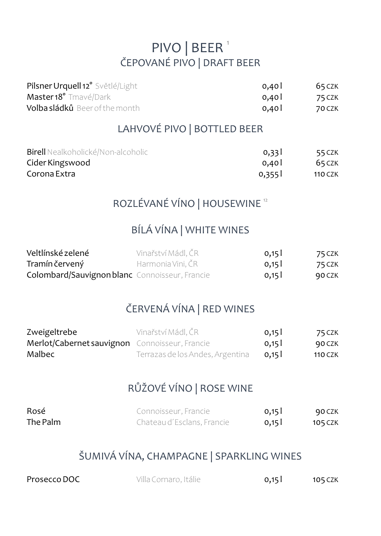### PIVO | BEER<sup>1</sup> ČEPOVANÉ PIVO | DRAFT BEER

| Pilsner Urquell 12° Světlé/Light     | 0.401 | 65 CZK |
|--------------------------------------|-------|--------|
| Master 18° Tmavé/Dark                | 0.401 | 75 CZK |
| <b>Volbasládků</b> Beer of the month | 0.401 | 70 CZK |

### LAHVOVÉ PIVO | BOTTLED BEER

| <b>Birell</b> Nealkoholické/Non-alcoholic | 0.331 | 55 CZK         |
|-------------------------------------------|-------|----------------|
| Cider Kingswood                           | 0.401 | 65 CZK         |
| Corona Extra                              | 0,355 | <b>110 CZK</b> |

### ROZLÉVANÉ VÍNO | HOUSEWINE <sup>12</sup>

#### BÍLÁ VÍNA | WHITE WINES

| Veltlínské zelené                                     | Vinařství Mádl. ČR | 0,15 | 75 CZK |
|-------------------------------------------------------|--------------------|------|--------|
| Tramín červený                                        | Harmonia Vini, CR  | 0,15 | 75 CZK |
| <b>Colombard/Sauvignon blanc</b> Connoisseur, Francie |                    | 0,15 | 90 CZK |

### ČERVENÁ VÍNA | RED WINES

| Zweigeltrebe                                   | Vinařství Mádl. ČR               | 0,15  | 75 CZK         |
|------------------------------------------------|----------------------------------|-------|----------------|
| Merlot/Cabernet sauvignon Connoisseur, Francie |                                  | 0,15  | 90 CZK         |
| Malbec                                         | Terrazas de los Andes, Argentina | 0.151 | <b>110 CZK</b> |

#### RŮŽOVÉ VÍNO | ROSE WINE

| Rosé     | Connoisseur, Francie       | 0,15 | 90 CZK         |
|----------|----------------------------|------|----------------|
| The Palm | Chateau d'Esclans, Francie | 0,15 | <b>105 CZK</b> |

### ŠUMIVÁ VÍNA, CHAMPAGNE | SPARKLING WINES

| Prosecco DOC | Villa Cornaro, Itálie | 0,15 | 105 CZK |
|--------------|-----------------------|------|---------|
|              |                       |      |         |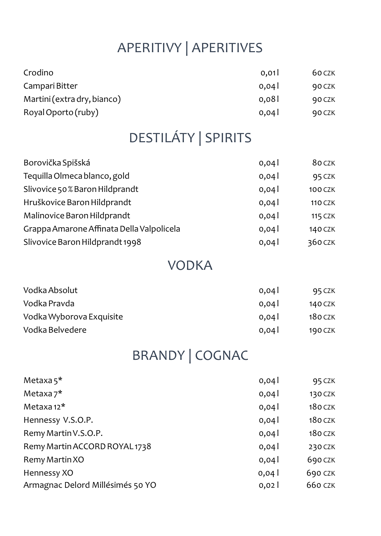## APERITIVY | APERITIVES

| Crodino                     | 0.01  | 60 CZK |
|-----------------------------|-------|--------|
| Campari Bitter              | 0.041 | 90 CZK |
| Martini (extra dry, bianco) | 0.081 | 90 CZK |
| Royal Oporto (ruby)         | 0.04  | 90 CZK |

## DESTILÁTY | SPIRITS

| Borovička Spišská                         | 0,04 | 80 CZK         |
|-------------------------------------------|------|----------------|
| Tequilla Olmeca blanco, gold              | 0,04 | 95 CZK         |
| Slivovice 50% Baron Hildprandt            | 0,04 | <b>100 CZK</b> |
| Hruškovice Baron Hildprandt               | 0,04 | <b>110 CZK</b> |
| Malinovice Baron Hildprandt               | 0,04 | <b>115 CZK</b> |
| Grappa Amarone Affinata Della Valpolicela | 0,04 | 140 CZK        |
| Slivovice Baron Hildprandt 1998           | 0,04 | 360 CZK        |

### VODKA

| Vodka Absolut            | 0.04  | 95 CZK  |
|--------------------------|-------|---------|
| Vodka Pravda             | 0.041 | 140 CZK |
| Vodka Wyborova Exquisite | 0.04  | 180 CZK |
| Vodka Belvedere          | 0.04  | 190 CZK |

## BRANDY | COGNAC

| Metaxa $5^*$                     | 0,04 | 95 CZK         |
|----------------------------------|------|----------------|
| Metaxa $7^*$                     | 0,04 | 130 CZK        |
| Metaxa $12^*$                    | 0,04 | <b>180 CZK</b> |
| Hennessy V.S.O.P.                | 0,04 | <b>180 CZK</b> |
| Remy Martin V.S.O.P.             | 0,04 | <b>180 CZK</b> |
| Remy Martin ACCORD ROYAL1738     | 0,04 | 230 CZK        |
| Remy Martin XO                   | 0,04 | 690 CZK        |
| Hennessy XO                      | 0,04 | 690 CZK        |
| Armagnac Delord Millésimés 50 YO | 0,02 | 660 CZK        |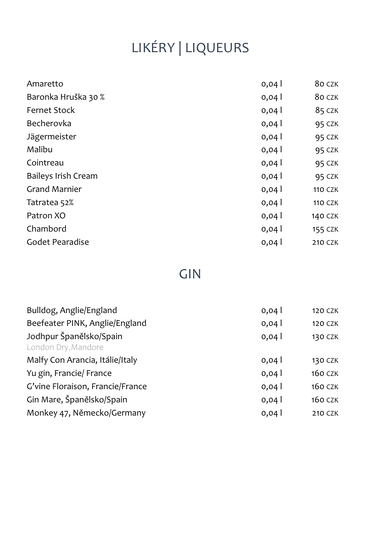# LIKÉRY | LIQUEURS

| Amaretto             | 0,04 | 80 CZK         |
|----------------------|------|----------------|
| Baronka Hruška 30 %  | 0,04 | 80 CZK         |
| <b>Fernet Stock</b>  | 0,04 | 85 CZK         |
| Becherovka           | 0,04 | 95 CZK         |
| Jägermeister         | 0,04 | 95 CZK         |
| Malibu               | 0,04 | <b>95 CZK</b>  |
| Cointreau            | 0,04 | 95 CZK         |
| Baileys Irish Cream  | 0,04 | 95 CZK         |
| <b>Grand Marnier</b> | 0,04 | <b>110 CZK</b> |
| Tatratea 52%         | 0,04 | <b>110 CZK</b> |
| Patron XO            | 0,04 | 140 CZK        |
| Chambord             | 0,04 | 155 CZK        |
| Godet Pearadise      | 0,04 | 210 CZK        |
|                      |      |                |

## GIN

| Bulldog, Anglie/England                        | 0,04 | <b>120 CZK</b> |
|------------------------------------------------|------|----------------|
| Beefeater PINK, Anglie/England                 | 0,04 | <b>120 CZK</b> |
| Jodhpur Španělsko/Spain<br>London Dry, Mandore | 0,04 | 130 CZK        |
| Malfy Con Arancia, Itálie/Italy                | 0,04 | 130 CZK        |
| Yu gin, Francie/ France                        | 0,04 | <b>160 CZK</b> |
| G'vine Floraison, Francie/France               | 0,04 | <b>160 CZK</b> |
| Gin Mare, Španělsko/Spain                      | 0,04 | <b>160 CZK</b> |
| Monkey 47, Německo/Germany                     | 0,04 | <b>210 CZK</b> |
|                                                |      |                |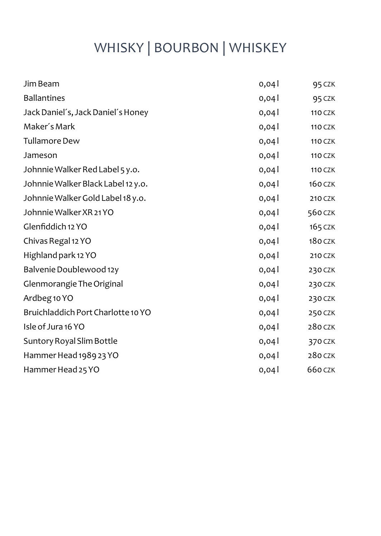## WHISKY | BOURBON | WHISKEY

| Jim Beam                           | 0,04 | 95 CZK         |
|------------------------------------|------|----------------|
| <b>Ballantines</b>                 |      |                |
|                                    | 0,04 | 95 CZK         |
| Jack Daniel's, Jack Daniel's Honey | 0,04 | <b>110 CZK</b> |
| Maker's Mark                       | 0,04 | <b>110 CZK</b> |
| <b>Tullamore Dew</b>               | 0,04 | <b>110 CZK</b> |
| Jameson                            | 0,04 | <b>110 CZK</b> |
| Johnnie Walker Red Label 5 y.o.    | 0,04 | <b>110 CZK</b> |
| Johnnie Walker Black Label 12 y.o. | 0,04 | <b>160 CZK</b> |
| Johnnie Walker Gold Label 18 y.o.  | 0,04 | 210 CZK        |
| Johnnie Walker XR 21 YO            | 0,04 | 560 CZK        |
| Glenfiddich 12 YO                  | 0,04 | 165 CZK        |
| Chivas Regal 12 YO                 | 0,04 | $180$ CZK      |
| Highland park 12 YO                | 0,04 | 210 CZK        |
| Balvenie Doublewood 12y            | 0,04 | 230 CZK        |
| Glenmorangie The Original          | 0,04 | 230 CZK        |
| Ardbeg 10 YO                       | 0,04 | 230 CZK        |
| Bruichladdich Port Charlotte 10 YO | 0,04 | 250 CZK        |
| Isle of Jura 16 YO                 | 0,04 | 280 CZK        |
| Suntory Royal Slim Bottle          | 0,04 | 370 CZK        |
| Hammer Head 1989 23 YO             | 0,04 | 280 CZK        |
| Hammer Head 25 YO                  | 0,04 | 660 CZK        |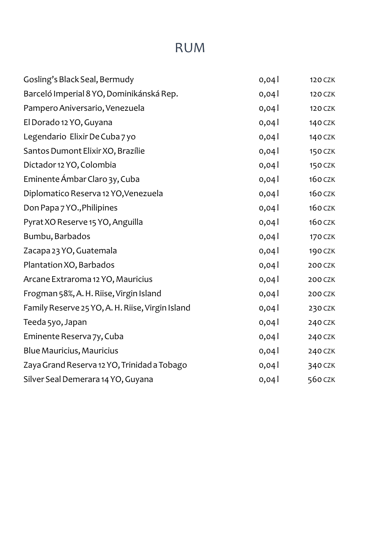## RUM

| Gosling's Black Seal, Bermudy                    | 0,04 | <b>120 CZK</b> |
|--------------------------------------------------|------|----------------|
| Barceló Imperial 8 YO, Dominikánská Rep.         | 0,04 | <b>120 CZK</b> |
| Pampero Aniversario, Venezuela                   | 0,04 | <b>120 CZK</b> |
| El Dorado 12 YO, Guyana                          | 0,04 | <b>140 CZK</b> |
| Legendario Elixir De Cuba 7 yo                   | 0,04 | 140 CZK        |
| Santos Dumont Elixir XO, Brazílie                | 0,04 | <b>150 CZK</b> |
| Dictador 12 YO, Colombia                         | 0,04 | <b>150 CZK</b> |
| Eminente Ámbar Claro 3y, Cuba                    | 0,04 | <b>160 CZK</b> |
| Diplomatico Reserva 12 YO, Venezuela             | 0,04 | <b>160 CZK</b> |
| Don Papa 7 YO., Philipines                       | 0,04 | <b>160 CZK</b> |
| Pyrat XO Reserve 15 YO, Anguilla                 | 0,04 | <b>160 CZK</b> |
| Bumbu, Barbados                                  | 0,04 | 170 CZK        |
| Zacapa 23 YO, Guatemala                          | 0,04 | 190 CZK        |
| Plantation XO, Barbados                          | 0,04 | 200 CZK        |
| Arcane Extraroma 12 YO, Mauricius                | 0,04 | 200 CZK        |
| Frogman 58%, A. H. Riise, Virgin Island          | 0,04 | 200 CZK        |
| Family Reserve 25 YO, A. H. Riise, Virgin Island | 0,04 | 230 CZK        |
| Teeda 5yo, Japan                                 | 0,04 | 240 CZK        |
| Eminente Reserva 7y, Cuba                        | 0,04 | 240 CZK        |
| Blue Mauricius, Mauricius                        | 0,04 | 240 CZK        |
| Zaya Grand Reserva 12 YO, Trinidad a Tobago      | 0,04 | 340 CZK        |
| Silver Seal Demerara 14 YO, Guyana               | 0,04 | 560 CZK        |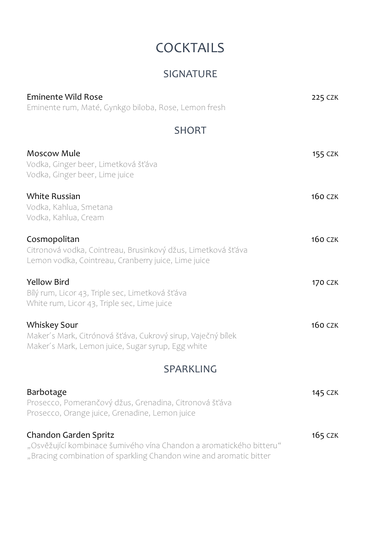## **COCKTAILS**

#### SIGNATURE

| Eminente Wild Rose<br>Eminente rum, Maté, Gynkgo biloba, Rose, Lemon fresh                                                                                         | <b>225 CZK</b> |
|--------------------------------------------------------------------------------------------------------------------------------------------------------------------|----------------|
| <b>SHORT</b>                                                                                                                                                       |                |
| Moscow Mule<br>Vodka, Ginger beer, Limetková šťáva<br>Vodka, Ginger beer, Lime juice                                                                               | 155 CZK        |
| <b>White Russian</b><br>Vodka, Kahlua, Smetana<br>Vodka, Kahlua, Cream                                                                                             | <b>160 CZK</b> |
| Cosmopolitan<br>Citronová vodka, Cointreau, Brusinkový džus, Limetková šťáva<br>Lemon vodka, Cointreau, Cranberry juice, Lime juice                                | <b>160 CZK</b> |
| Yellow Bird<br>Bílý rum, Licor 43, Triple sec, Limetková šťáva<br>White rum, Licor 43, Triple sec, Lime juice                                                      | <b>170 CZK</b> |
| Whiskey Sour<br>Maker's Mark, Citrónová šťáva, Cukrový sirup, Vaječný bílek<br>Maker's Mark, Lemon juice, Sugar syrup, Egg white                                   | <b>160 CZK</b> |
| <b>SPARKLING</b>                                                                                                                                                   |                |
| Barbotage<br>Prosecco, Pomerančový džus, Grenadina, Citronová šťáva<br>Prosecco, Orange juice, Grenadine, Lemon juice                                              | <b>145 CZK</b> |
| Chandon Garden Spritz<br>"Osvěžující kombinace šumivého vína Chandon a aromatického bitteru"<br>"Bracing combination of sparkling Chandon wine and aromatic bitter | 165 CZK        |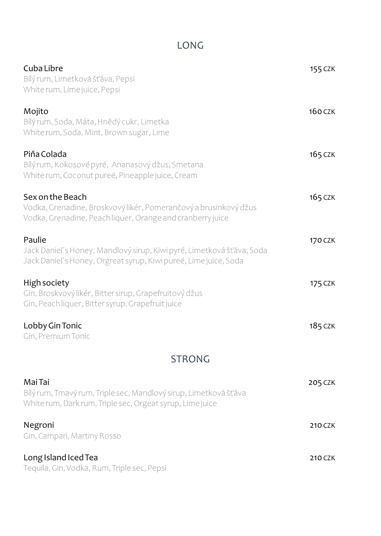### LONG

| Cuba Libre<br>Bílýrum, Limetková šťáva, Pepsi<br>White rum, Lime juice, Pepsi                                                                       | 155 CZK        |
|-----------------------------------------------------------------------------------------------------------------------------------------------------|----------------|
| Mojito<br>Bílý rum, Soda, Máta, Hnědý cukr, Limetka<br>White rum, Soda, Mint, Brown sugar, Lime                                                     | <b>160 CZK</b> |
| Piňa Colada<br>Bílý rum, Kokosové pyré, Ananasový džus, Smetana<br>White rum, Coconut pureé, Pineapple juice, Cream                                 | <b>165 CZK</b> |
| Sex on the Beach<br>Vodka, Grenadine, Broskvový likér, Pomerančový a brusinkový džus<br>Vodka, Grenadine, Peach liquer, Orange and cranberry juice  | 165 CZK        |
| Paulie<br>Jack Danieľ s Honey, Mandlový sirup, Kiwi pyré, Limetková šťáva, Soda<br>Jack Daniel's Honey, Orgreat syrup, Kiwi pureé, Lime juice, Soda | 170 CZK        |
| High society<br>Gin, Broskvový likér, Bitter sirup, Grapefruitový džus<br>Gin, Peach liquer, Bitter syrup, Grapefruit juice                         | <b>175 CZK</b> |
| Lobby Gin Tonic<br>Gin, Premium Tonic                                                                                                               | 185 CZK        |
| <b>STRONG</b>                                                                                                                                       |                |
| Mai Tai<br>Bílý rum, Tmavý rum, Triple sec, Mandlový sirup, Limetková šťáva<br>White rum, Dark rum, Triple sec, Orgeat syrup, Lime juice            | 205 CZK        |
| Negroni<br>Gin, Campari, Martiny Rosso                                                                                                              | 210 CZK        |
| Long Island Iced Tea<br>Tequila, Gin, Vodka, Rum, Triple sec, Pepsi                                                                                 | 210 CZK        |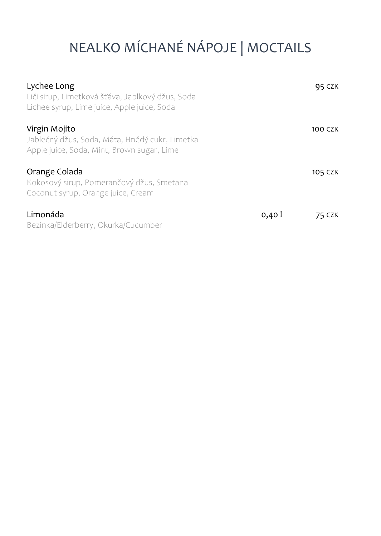# NEALKO MÍCHANÉ NÁPOJE | MOCTAILS

| Lychee Long<br>Liči sirup, Limetková šťáva, Jablkový džus, Soda<br>Lichee syrup, Lime juice, Apple juice, Soda |      | 95 CZK  |
|----------------------------------------------------------------------------------------------------------------|------|---------|
| Virgin Mojito<br>Jablečný džus, Soda, Máta, Hnědý cukr, Limetka<br>Apple juice, Soda, Mint, Brown sugar, Lime  |      | 100 CZK |
| Orange Colada<br>Kokosový sirup, Pomerančový džus, Smetana<br>Coconut syrup, Orange juice, Cream               |      | 105 CZK |
| Limonáda<br>Bezinka/Elderberry, Okurka/Cucumber                                                                | 0,40 | 75 CZK  |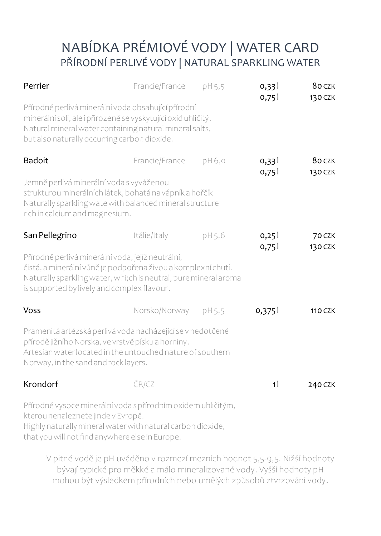### NABÍDKA PRÉMIOVÉ VODY | WATER CARD PŘÍRODNÍ PERLIVÉ VODY | NATURAL SPARKLING WATER

| Perrier                                                                                                                                                                                                                               | Francie/France | pH 5,5 | 0,331<br>0,751 | 80 CZK<br>130 CZK |
|---------------------------------------------------------------------------------------------------------------------------------------------------------------------------------------------------------------------------------------|----------------|--------|----------------|-------------------|
| Přírodně perlivá minerální voda obsahující přírodní<br>minerální soli, ale i přirozeně se vyskytující oxid uhličitý.<br>Natural mineral water containing natural mineral salts,<br>but also naturally occurring carbon dioxide.       |                |        |                |                   |
| <b>Badoit</b>                                                                                                                                                                                                                         | Francie/France | pH 6,0 | 0,331<br>0,75  | 80 CZK<br>130 CZK |
| Jemně perlivá minerální voda s vyváženou<br>strukturou minerálních látek, bohatá na vápník a hořčík<br>Naturally sparkling wate with balanced mineral structure<br>rich in calcium and magnesium.                                     |                |        |                |                   |
| San Pellegrino                                                                                                                                                                                                                        | Itálie/Italy   | pH 5,6 | 0,25<br>0,751  | 70 CZK<br>130 CZK |
| Přírodně perlivá minerální voda, jejíž neutrální,<br>čistá, a minerální vůně je podpořena živou a komplexní chutí.<br>Naturally sparkling water, whi;ch is neutral, pure mineral aroma<br>is supported by lively and complex flavour. |                |        |                |                   |
| <b>Voss</b>                                                                                                                                                                                                                           | Norsko/Norway  | pH 5,5 | 0,375          | <b>110 CZK</b>    |
| Pramenitá artézská perlivá voda nacházející se v nedotčené<br>přírodě jižního Norska, ve vrstvě písku a horniny.<br>Artesian water located in the untouched nature of southern<br>Norway, in the sand and rock layers.                |                |        |                |                   |
| Krondorf                                                                                                                                                                                                                              | ČR/CZ          |        | 1 <sup>1</sup> | 240 CZK           |
| Přírodně vysoce minerální voda s přírodním oxidem uhličitým,<br>kterou nenaleznete jinde v Evropě.<br>Highly naturally mineral water with natural carbon dioxide,<br>that you will not find anywhere else in Europe.                  |                |        |                |                   |

V pitné vodě je pH uváděno v rozmezí mezních hodnot 5,5-9,5. Nižší hodnoty bývají typické pro měkké a málo mineralizované vody. Vyšší hodnoty pH mohou být výsledkem přírodních nebo umělých způsobů ztvrzování vody.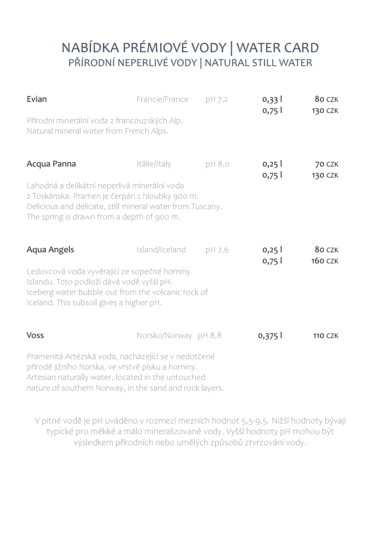### NABÍDKA PRÉMIOVÉ VODY | WATER CARD PŘÍRODNÍ NEPERLIVÉ VODY | NATURAL STILL WATER

| Evian                                                                                                                                                                                                                      | Francie/France       | pH 7,2 | 0,331<br>0,751 | 80 CZK<br>130 CZK        |
|----------------------------------------------------------------------------------------------------------------------------------------------------------------------------------------------------------------------------|----------------------|--------|----------------|--------------------------|
| Přírodní minerální voda z francouzských Alp.<br>Natural mineral water from French Alps.                                                                                                                                    |                      |        |                |                          |
| Acqua Panna<br>Lahodná a delikátní neperlivá minerální voda<br>z Toskánska. Pramen je čerpán z hloubky 900 m.                                                                                                              | Itálie/Italy         | pH 8,0 | 0,251<br>0,751 | <b>70 CZK</b><br>130 CZK |
| Delicious and delicate, still mineral water from Tuscany.<br>The spring is drawn from a depth of 900 m.                                                                                                                    |                      |        |                |                          |
| Aqua Angels                                                                                                                                                                                                                | Island/Iceland       | pH 7.6 | 0,251          | 80 CZK<br><b>160 CZK</b> |
| Ledovcová voda vyvěrající ze sopečné horniny<br>Islandu. Toto podloží dává vodě vyšší pH.<br>Iceberg water bubble out from the volcanic rock of<br>Iceland. This subsoil gives a higher pH.                                |                      |        | 0,751          |                          |
| Voss                                                                                                                                                                                                                       | Norsko/Norway pH 8,8 |        | 0,375          | <b>110 CZK</b>           |
| Pramenitá Artézská voda, nacházející se v nedotčené<br>přírodě jižního Norska, ve vrstvě písku a horniny.<br>Artesian naturally water, located in the untouched<br>nature of southern Norway, in the sand and rock layers. |                      |        |                |                          |

V pitné vodě je pH uváděno v rozmezí mezních hodnot 5,5-9,5. Nižší hodnoty bývají typické pro měkké a málo mineralizované vody. Vyšší hodnoty pH mohou být výsledkem přírodních nebo umělých způsobů ztvrzování vody.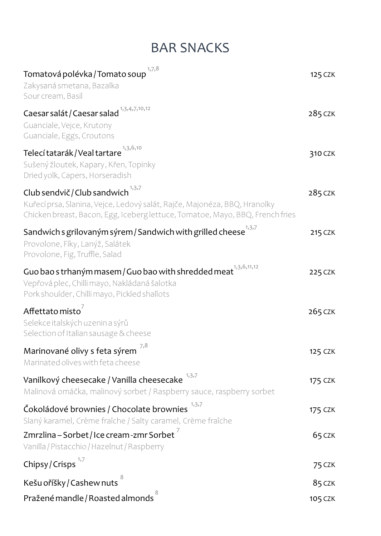### BAR SNACKS

| 1,7,8<br>Tomatová polévka / Tomato soup<br>Zakysaná smetana, Bazalka<br>Sour cream, Basil                                                                                                                   | 125 CZK |
|-------------------------------------------------------------------------------------------------------------------------------------------------------------------------------------------------------------|---------|
| Caesar salát / Caesar salad <sup>1,3,4,7,10,12</sup><br>Guanciale, Vejce, Krutony<br>Guanciale, Eggs, Croutons                                                                                              | 285 CZK |
| Telecí tatarák / Veal tartare $^{1,3,6,10}$<br>Sušený žloutek, Kapary, Křen, Topinky<br>Dried yolk, Capers, Horseradish                                                                                     | 310 CZK |
| Club sendvič / Club sandwich <sup>1,3,7</sup><br>Kuřecí prsa, Slanina, Vejce, Ledový salát, Rajče, Majonéza, BBQ, Hranolky<br>Chicken breast, Bacon, Egg, Iceberg lettuce, Tomatoe, Mayo, BBQ, French fries | 285 CZK |
| Sandwich s grilovaným sýrem / Sandwich with grilled cheese $^{1,3,7}$<br>Provolone, Fíky, Lanýž, Salátek<br>Provolone, Fig, Truffle, Salad                                                                  | 215 CZK |
| Guo bao s trhaným masem / Guo bao with shredded meat $^{1,3,6,11,12}$<br>Vepřová plec, Chilli mayo, Nakládaná šalotka<br>Pork shoulder, Chilli mayo, Pickled shallots                                       | 225 CZK |
| Affettato misto $^7$<br>Selekce italských uzenin a sýrů<br>Selection of Italian sausage & cheese                                                                                                            | 265 CZK |
| Marinované olivy s feta sýrem<br>Marinated olives with feta cheese                                                                                                                                          | 125 CZK |
| Vanilkový cheesecake / Vanilla cheesecake<br>Malinová omáčka, malinový sorbet / Raspberry sauce, raspberry sorbet                                                                                           | 175 CZK |
| Čokoládové brownies / Chocolate brownies<br>Slaný karamel, Crème fraîche / Salty caramel, Crème fraîche                                                                                                     | 175 CZK |
| Zmrzlina – Sorbet / Ice cream -zmr Sorbet $^{\prime}$<br>Vanilla / Pistacchio / Hazelnut / Raspberry                                                                                                        | 65 CZK  |
| Chipsy/Crisps                                                                                                                                                                                               | 75 CZK  |
| Kešu oříšky / Cashew nuts                                                                                                                                                                                   | 85 CZK  |
| Pražené mandle / Roasted almonds                                                                                                                                                                            | 105 CZK |